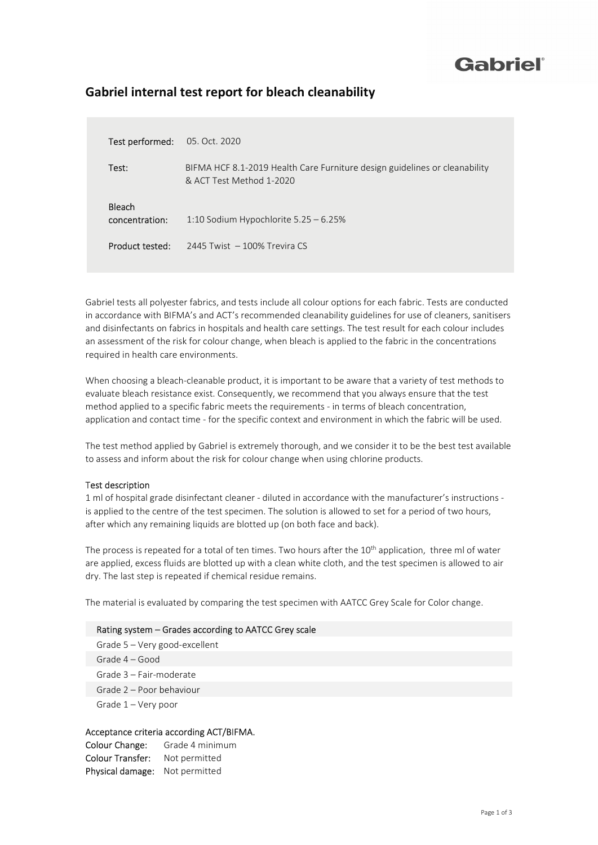## Gabriel®

| <b>Test performed:</b> 05. Oct. 2020 |                                                                                                        |
|--------------------------------------|--------------------------------------------------------------------------------------------------------|
| Test:                                | BIFMA HCF 8.1-2019 Health Care Furniture design guidelines or cleanability<br>& ACT Test Method 1-2020 |
| Bleach<br>concentration:             | 1:10 Sodium Hypochlorite 5.25 - 6.25%                                                                  |

### Gabriel internal test report for bleach cleanability

Product tested: 2445 Twist – 100% Trevira CS

Gabriel tests all polyester fabrics, and tests include all colour options for each fabric. Tests are conducted in accordance with BIFMA's and ACT's recommended cleanability guidelines for use of cleaners, sanitisers and disinfectants on fabrics in hospitals and health care settings. The test result for each colour includes an assessment of the risk for colour change, when bleach is applied to the fabric in the concentrations required in health care environments.

When choosing a bleach-cleanable product, it is important to be aware that a variety of test methods to evaluate bleach resistance exist. Consequently, we recommend that you always ensure that the test method applied to a specific fabric meets the requirements - in terms of bleach concentration, application and contact time - for the specific context and environment in which the fabric will be used.

The test method applied by Gabriel is extremely thorough, and we consider it to be the best test available to assess and inform about the risk for colour change when using chlorine products.

#### Test description

1 ml of hospital grade disinfectant cleaner - diluted in accordance with the manufacturer's instructions is applied to the centre of the test specimen. The solution is allowed to set for a period of two hours, after which any remaining liquids are blotted up (on both face and back).

The process is repeated for a total of ten times. Two hours after the 10<sup>th</sup> application, three ml of water are applied, excess fluids are blotted up with a clean white cloth, and the test specimen is allowed to air dry. The last step is repeated if chemical residue remains.

The material is evaluated by comparing the test specimen with AATCC Grey Scale for Color change.

#### Rating system – Grades according to AATCC Grey scale

Grade 5 – Very good-excellent Grade 4 – Good Grade 3 – Fair-moderate Grade 2 – Poor behaviour Grade 1 – Very poor

#### Acceptance criteria according ACT/BIFMA.

Colour Change: Grade 4 minimum Colour Transfer: Not permitted Physical damage: Not permitted